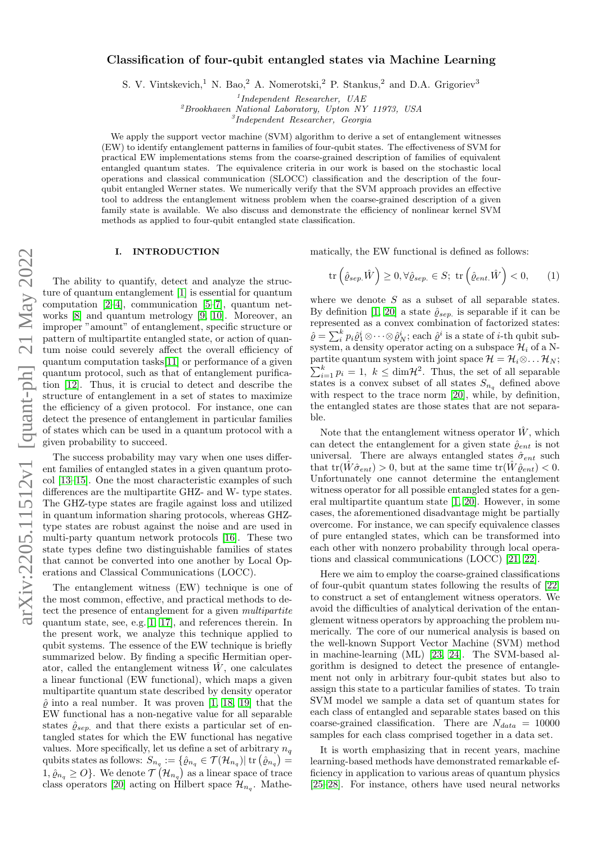# Classification of four-qubit entangled states via Machine Learning

S. V. Vintskevich,<sup>1</sup> N. Bao,<sup>2</sup> A. Nomerotski,<sup>2</sup> P. Stankus,<sup>2</sup> and D.A. Grigoriev<sup>3</sup>

1 Independent Researcher, UAE

 ${}^{2}$ Brookhaven National Laboratory, Upton NY 11973, USA<br> ${}^{3}$ Independent Researcher, Georgia

We apply the support vector machine (SVM) algorithm to derive a set of entanglement witnesses (EW) to identify entanglement patterns in families of four-qubit states. The effectiveness of SVM for practical EW implementations stems from the coarse-grained description of families of equivalent entangled quantum states. The equivalence criteria in our work is based on the stochastic local operations and classical communication (SLOCC) classification and the description of the fourqubit entangled Werner states. We numerically verify that the SVM approach provides an effective tool to address the entanglement witness problem when the coarse-grained description of a given family state is available. We also discuss and demonstrate the efficiency of nonlinear kernel SVM methods as applied to four-qubit entangled state classification.

## I. INTRODUCTION

The ability to quantify, detect and analyze the structure of quantum entanglement [\[1\]](#page-8-0) is essential for quantum computation [\[2–](#page-8-1)[4\]](#page-8-2), communication [\[5–](#page-8-3)[7\]](#page-8-4), quantum networks [\[8\]](#page-8-5) and quantum metrology [\[9,](#page-8-6) [10\]](#page-8-7). Moreover, an improper "amount" of entanglement, specific structure or pattern of multipartite entangled state, or action of quantum noise could severely affect the overall efficiency of quantum computation tasks[\[11\]](#page-8-8) or performance of a given quantum protocol, such as that of entanglement purification [\[12\]](#page-8-9). Thus, it is crucial to detect and describe the structure of entanglement in a set of states to maximize the efficiency of a given protocol. For instance, one can detect the presence of entanglement in particular families of states which can be used in a quantum protocol with a given probability to succeed.

The success probability may vary when one uses different families of entangled states in a given quantum protocol [\[13–](#page-8-10)[15\]](#page-8-11). One the most characteristic examples of such differences are the multipartite GHZ- and W- type states. The GHZ-type states are fragile against loss and utilized in quantum information sharing protocols, whereas GHZtype states are robust against the noise and are used in multi-party quantum network protocols [\[16\]](#page-8-12). These two state types define two distinguishable families of states that cannot be converted into one another by Local Operations and Classical Communications (LOCC).

The entanglement witness (EW) technique is one of the most common, effective, and practical methods to detect the presence of entanglement for a given multipartite quantum state, see, e.g.[\[1,](#page-8-0) [17\]](#page-8-13), and references therein. In the present work, we analyze this technique applied to qubit systems. The essence of the EW technique is briefly summarized below. By finding a specific Hermitian operator, called the entanglement witness  $W$ , one calculates a linear functional (EW functional), which maps a given multipartite quantum state described by density operator  $\hat{\rho}$  into a real number. It was proven [\[1,](#page-8-0) [18,](#page-8-14) [19\]](#page-8-15) that the EW functional has a non-negative value for all separable states  $\hat{\varrho}_{sep.}$  and that there exists a particular set of entangled states for which the EW functional has negative values. More specifically, let us define a set of arbitrary  $n_q$ qubits states as follows:  $S_{n_q} := \{ \hat{\varrho}_{n_q} \in \mathcal{T}(\mathcal{H}_{n_q}) | \text{ tr } (\hat{\varrho}_{n_q}) = \emptyset \}$  $1, \hat{\varrho}_{n_q} \geq O$ . We denote  $\mathcal{T}(\mathcal{H}_{n_q})$  as a linear space of trace class operators [\[20\]](#page-8-16) acting on Hilbert space  $\mathcal{H}_{n_q}$ . Mathematically, the EW functional is defined as follows:

<span id="page-0-0"></span>
$$
\operatorname{tr}\left(\hat{\varrho}_{sep.}\hat{W}\right) \ge 0, \forall \hat{\varrho}_{sep.} \in S; \ \operatorname{tr}\left(\hat{\varrho}_{ent.}\hat{W}\right) < 0,\qquad(1)
$$

where we denote  $S$  as a subset of all separable states. By definition [\[1,](#page-8-0) [20\]](#page-8-16) a state  $\hat{\varrho}_{sep.}$  is separable if it can be represented as a convex combination of factorized states:  $\hat{\varrho} = \sum_{i}^{k} p_i \hat{\varrho}_1^i \otimes \cdots \otimes \hat{\varrho}_N^i$ ; each  $\hat{\varrho}^i$  is a state of *i*-th qubit subsystem, a density operator acting on a subspace  $\mathcal{H}_i$  of a Npartite quantum system with joint space  $\mathcal{H} = \mathcal{H}_i \otimes \ldots \mathcal{H}_N$ ;  $\sum_{i=1}^{k} p_i = 1, \ k \le \dim \mathcal{H}^2$ . Thus, the set of all separable states is a convex subset of all states  $S_{n_q}$  defined above with respect to the trace norm [\[20\]](#page-8-16), while, by definition, the entangled states are those states that are not separable.

Note that the entanglement witness operator  $\hat{W}$ , which can detect the entanglement for a given state  $\hat{\rho}_{ent}$  is not universal. There are always entangled states  $\hat{\sigma}_{ent}$  such that  $tr(\hat{W}\hat{\sigma}_{ent}) > 0$ , but at the same time  $tr(\hat{W}\hat{\rho}_{ent}) < 0$ . Unfortunately one cannot determine the entanglement witness operator for all possible entangled states for a general multipartite quantum state [\[1,](#page-8-0) [20\]](#page-8-16). However, in some cases, the aforementioned disadvantage might be partially overcome. For instance, we can specify equivalence classes of pure entangled states, which can be transformed into each other with nonzero probability through local operations and classical communications (LOCC) [\[21,](#page-8-17) [22\]](#page-8-18).

Here we aim to employ the coarse-grained classifications of four-qubit quantum states following the results of [\[22\]](#page-8-18) to construct a set of entanglement witness operators. We avoid the difficulties of analytical derivation of the entanglement witness operators by approaching the problem numerically. The core of our numerical analysis is based on the well-known Support Vector Machine (SVM) method in machine-learning (ML) [\[23,](#page-8-19) [24\]](#page-8-20). The SVM-based algorithm is designed to detect the presence of entanglement not only in arbitrary four-qubit states but also to assign this state to a particular families of states. To train SVM model we sample a data set of quantum states for each class of entangled and separable states based on this coarse-grained classification. There are  $N_{data} = 10000$ samples for each class comprised together in a data set.

It is worth emphasizing that in recent years, machine learning-based methods have demonstrated remarkable efficiency in application to various areas of quantum physics [\[25](#page-8-21)[–28\]](#page-8-22). For instance, others have used neural networks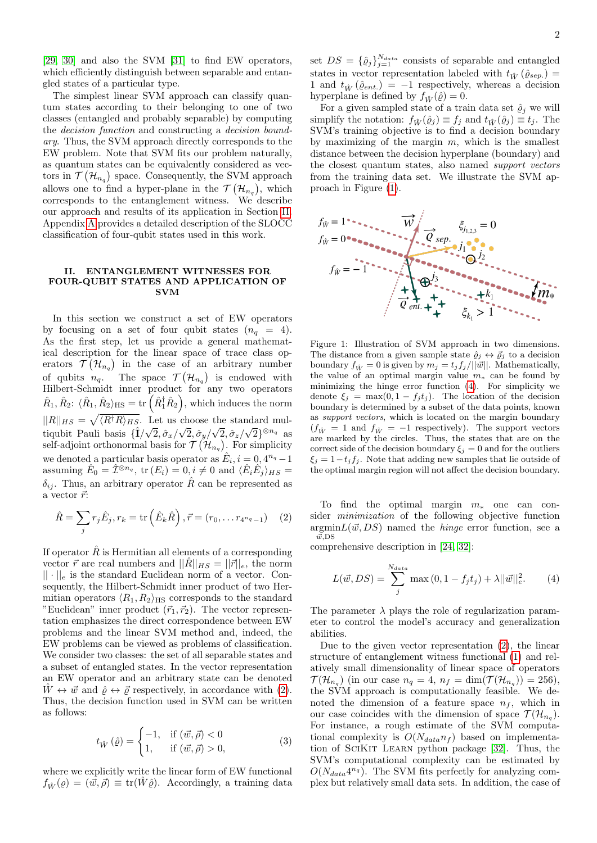[\[29,](#page-8-23) [30\]](#page-8-24) and also the SVM [\[31\]](#page-8-25) to find EW operators, which efficiently distinguish between separable and entangled states of a particular type.

The simplest linear SVM approach can classify quantum states according to their belonging to one of two classes (entangled and probably separable) by computing the decision function and constructing a decision boundary. Thus, the SVM approach directly corresponds to the EW problem. Note that SVM fits our problem naturally, as quantum states can be equivalently considered as vectors in  $\mathcal{T}(\mathcal{H}_{n_q})$  space. Consequently, the SVM approach allows one to find a hyper-plane in the  $\mathcal{T}(\mathcal{H}_{n_q})$ , which corresponds to the entanglement witness. We describe our approach and results of its application in Section [II.](#page-1-0) Appendix [A](#page-7-0) provides a detailed description of the SLOCC classification of four-qubit states used in this work.

#### <span id="page-1-0"></span>II. ENTANGLEMENT WITNESSES FOR FOUR-QUBIT STATES AND APPLICATION OF SVM

In this section we construct a set of EW operators by focusing on a set of four qubit states  $(n_q = 4)$ . As the first step, let us provide a general mathematical description for the linear space of trace class operators  $\mathcal{T}(\mathcal{H}_{n_q})$  in the case of an arbitrary number of qubits  $n_q$ . The space  $\mathcal{T}(\mathcal{H}_{n_q})$  is endowed with Hilbert-Schmidt inner product for any two operators  $\hat{R}_1, \hat{R}_2$ :  $\langle \hat{R}_1, \hat{R}_2 \rangle_{\rm HS} = \text{tr} \left( \hat{R}_1^\dagger \hat{R}_2 \right)$ , which induces the norm  $||R||_{HS} = \sqrt{\langle R^{\dagger}R\rangle_{HS}}$ . Let us choose the standard multiqubit Pauli basis  $\{\hat{\mathbf{I}}/\sqrt{2},\hat{\sigma}_x/\sqrt{2},\hat{\sigma}_y/\sqrt{2},\hat{\sigma}_z/\sqrt{2}\}^{\otimes n_q}$  as self-adjoint orthonormal basis for  $\mathcal{T}(\mathcal{H}_{n_q})$ . For simplicity we denoted a particular basis operator as  $\hat{E}_i, i = 0, 4^{n_q} - 1$ assuming  $\hat{E}_0 = \hat{\mathcal{I}}^{\otimes n_q}$ , tr  $(E_i) = 0, i \neq 0$  and  $\langle \hat{E}_i \hat{E}_j \rangle_{HS} =$  $\delta_{ij}$ . Thus, an arbitrary operator R can be represented as a vector  $\vec{r}$ :

<span id="page-1-1"></span>
$$
\hat{R} = \sum_{j} r_{j} \hat{E}_{j}, r_{k} = \text{tr}\left(\hat{E}_{k} \hat{R}\right), \vec{r} = (r_{0}, \dots r_{4^{n_{q}}-1}) \quad (2)
$$

If operator  $\hat{R}$  is Hermitian all elements of a corresponding vector  $\vec{r}$  are real numbers and  $||\hat{R}||_{HS} = ||\vec{r}||_e$ , the norm  $|| \cdot ||_e$  is the standard Euclidean norm of a vector. Consequently, the Hilbert-Schmidt inner product of two Hermitian operators  $\langle R_1, R_2 \rangle$ <sub>HS</sub> corresponds to the standard "Euclidean" inner product  $(\vec{r}_1, \vec{r}_2)$ . The vector representation emphasizes the direct correspondence between EW problems and the linear SVM method and, indeed, the EW problems can be viewed as problems of classification. We consider two classes: the set of all separable states and a subset of entangled states. In the vector representation an EW operator and an arbitrary state can be denoted  $\hat{W} \leftrightarrow \vec{w}$  and  $\hat{\rho} \leftrightarrow \vec{\rho}$  respectively, in accordance with [\(2\)](#page-1-1). Thus, the decision function used in SVM can be written as follows:

<span id="page-1-4"></span>
$$
t_{\hat{W}}\left(\hat{\varrho}\right) = \begin{cases} -1, & \text{if } \left(\vec{w}, \vec{\rho}\right) < 0\\ 1, & \text{if } \left(\vec{w}, \vec{\rho}\right) > 0, \end{cases} \tag{3}
$$

where we explicitly write the linear form of EW functional  $f_{\hat{W}}(\rho) = (\vec{w}, \vec{\rho}) \equiv \text{tr}(\hat{W}\hat{\rho})$ . Accordingly, a training data

set  $DS = {\{\hat{\varrho}_j\}}_{j=1}^{N_{data}}$  consists of separable and entangled states in vector representation labeled with  $t_{\hat{W}}(\hat{\varrho}_{sep.})$  = 1 and  $t_{\hat{W}}(\hat{\varrho}_{ent.}) = -1$  respectively, whereas a decision hyperplane is defined by  $f_{\hat{W}}(\hat{\varrho}) = 0$ .

For a given sampled state of a train data set  $\hat{\varrho}_j$  we will simplify the notation:  $f_{\hat{W}}(\hat{g}_j) \equiv f_j$  and  $t_{\hat{W}}(\hat{g}_j) \equiv t_j$ . The SVM's training objective is to find a decision boundary by maximizing of the margin  $m$ , which is the smallest distance between the decision hyperplane (boundary) and the closest quantum states, also named support vectors from the training data set. We illustrate the SVM approach in Figure [\(1\)](#page-1-2).



<span id="page-1-2"></span>Figure 1: Illustration of SVM approach in two dimensions. The distance from a given sample state  $\hat{\varrho}_j \leftrightarrow \vec{\varrho}_j$  to a decision boundary  $f_{\hat{W}} = 0$  is given by  $m_j = t_j f_j/||\vec{w}||$ . Mathematically, the value of an optimal margin value  $m_*$  can be found by minimizing the hinge error function [\(4\)](#page-1-3). For simplicity we denote  $\xi_j = \max(0, 1 - f_j t_j)$ . The location of the decision boundary is determined by a subset of the data points, known as support vectors, which is located on the margin boundary  $(f_{\hat{W}} = 1 \text{ and } f_{\hat{W}} = -1 \text{ respectively}).$  The support vectors are marked by the circles. Thus, the states that are on the correct side of the decision boundary  $\xi_i = 0$  and for the outliers  $\xi_j = 1-t_j f_j$ . Note that adding new samples that lie outside of the optimal margin region will not affect the decision boundary.

To find the optimal margin  $m_*$  one can consider minimization of the following objective function  $argmin L(\vec{w}, DS)$  named the *hinge* error function, see a  $\overline{v}$ ,DS

comprehensive description in [\[24,](#page-8-20) [32\]](#page-8-26):

<span id="page-1-3"></span>
$$
L(\vec{w}, DS) = \sum_{j}^{N_{data}} \max(0, 1 - f_j t_j) + \lambda ||\vec{w}||_e^2.
$$
 (4)

The parameter  $\lambda$  plays the role of regularization parameter to control the model's accuracy and generalization abilities.

Due to the given vector representation [\(2\)](#page-1-1), the linear structure of entanglement witness functional [\(1\)](#page-0-0) and relatively small dimensionality of linear space of operators  $\mathcal{T}(\mathcal{H}_{n_q})$  (in our case  $n_q = 4$ ,  $n_f = \dim(\mathcal{T}(\mathcal{H}_{n_q})) = 256$ ), the SVM approach is computationally feasible. We denoted the dimension of a feature space  $n_f$ , which in our case coincides with the dimension of space  $\mathcal{T}(\mathcal{H}_{n_q})$ . For instance, a rough estimate of the SVM computational complexity is  $O(N_{data}n_f)$  based on implementation of SciKit Learn python package [\[32\]](#page-8-26). Thus, the SVM's computational complexity can be estimated by  $O(N_{data}4^{n_q})$ . The SVM fits perfectly for analyzing complex but relatively small data sets. In addition, the case of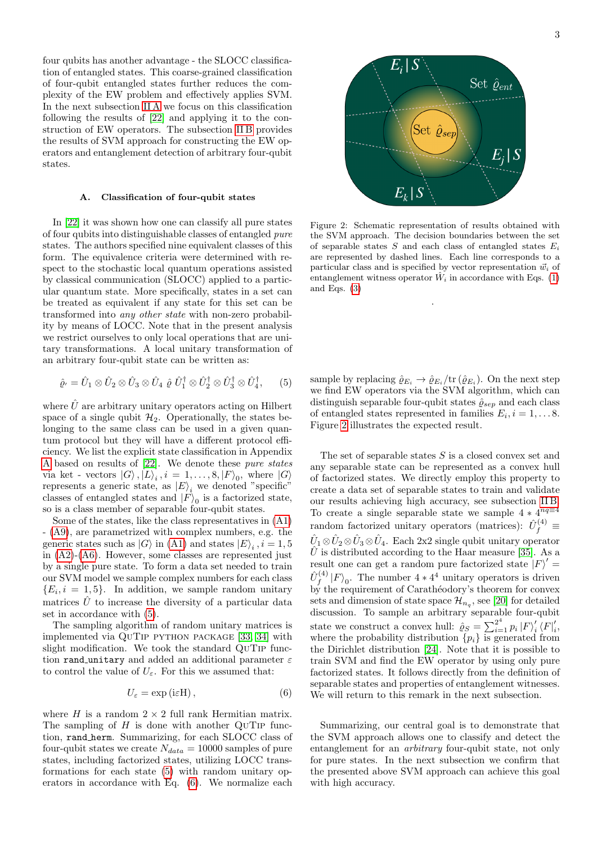four qubits has another advantage - the SLOCC classification of entangled states. This coarse-grained classification of four-qubit entangled states further reduces the complexity of the EW problem and effectively applies SVM. In the next subsection [II A](#page-2-0) we focus on this classification following the results of [\[22\]](#page-8-18) and applying it to the construction of EW operators. The subsection [II B](#page-3-0) provides the results of SVM approach for constructing the EW operators and entanglement detection of arbitrary four-qubit states.

## <span id="page-2-0"></span>A. Classification of four-qubit states

In [\[22\]](#page-8-18) it was shown how one can classify all pure states of four qubits into distinguishable classes of entangled pure states. The authors specified nine equivalent classes of this form. The equivalence criteria were determined with respect to the stochastic local quantum operations assisted by classical communication (SLOCC) applied to a particular quantum state. More specifically, states in a set can be treated as equivalent if any state for this set can be transformed into any other state with non-zero probability by means of LOCC. Note that in the present analysis we restrict ourselves to only local operations that are unitary transformations. A local unitary transformation of an arbitrary four-qubit state can be written as:

<span id="page-2-1"></span>
$$
\hat{\varrho}_{1} = \hat{U}_{1} \otimes \hat{U}_{2} \otimes \hat{U}_{3} \otimes \hat{U}_{4} \hat{\varrho}_{1} \hat{U}_{1}^{\dagger} \otimes \hat{U}_{2}^{\dagger} \otimes \hat{U}_{3}^{\dagger} \otimes \hat{U}_{4}^{\dagger}, \qquad (5)
$$

where  $\hat{U}$  are arbitrary unitary operators acting on Hilbert space of a single qubit  $\mathcal{H}_2$ . Operationally, the states belonging to the same class can be used in a given quantum protocol but they will have a different protocol efficiency. We list the explicit state classification in Appendix [A](#page-7-0) based on results of [\[22\]](#page-8-18). We denote these pure states via ket - vectors  $|G\rangle, |L\rangle_i, i = 1, ..., 8, |F\rangle_0$ , where  $|G\rangle$ represents a generic state, as  $|E\rangle_i$  we denoted "specific" classes of entangled states and  $|F\rangle_0$  is a factorized state, so is a class member of separable four-qubit states.

Some of the states, like the class representatives in [\(A1\)](#page-7-1) - [\(A9\)](#page-7-2), are parametrized with complex numbers, e.g. the generic states such as  $|G\rangle$  in [\(A1\)](#page-7-1) and states  $|E\rangle_i$ ,  $i = 1, 5$ in [\(A2\)](#page-7-3)-[\(A6\)](#page-7-4). However, some classes are represented just by a single pure state. To form a data set needed to train our SVM model we sample complex numbers for each class  $\{E_i, i = 1, 5\}$ . In addition, we sample random unitary matrices  $\hat{U}$  to increase the diversity of a particular data set in accordance with [\(5\)](#page-2-1).

The sampling algorithm of random unitary matrices is implemented via QuTip python package [\[33,](#page-8-27) [34\]](#page-8-28) with slight modification. We took the standard QuTip function rand unitary and added an additional parameter  $\varepsilon$ to control the value of  $U_{\varepsilon}$ . For this we assumed that:

<span id="page-2-2"></span>
$$
U_{\varepsilon} = \exp\left(i\varepsilon H\right),\tag{6}
$$

where  $H$  is a random  $2 \times 2$  full rank Hermitian matrix. The sampling of  $H$  is done with another QUTIP function, rand herm. Summarizing, for each SLOCC class of four-qubit states we create  $N_{data} = 10000$  samples of pure states, including factorized states, utilizing LOCC transformations for each state [\(5\)](#page-2-1) with random unitary operators in accordance with Eq. [\(6\)](#page-2-2). We normalize each



<span id="page-2-3"></span>Figure 2: Schematic representation of results obtained with the SVM approach. The decision boundaries between the set of separable states  $S$  and each class of entangled states  $E_i$ are represented by dashed lines. Each line corresponds to a particular class and is specified by vector representation  $\vec{w}_i$  of entanglement witness operator  $\hat{W}_i$  in accordance with Eqs. [\(1\)](#page-0-0) and Eqs.  $(3)$ 

.

sample by replacing  $\hat{\varrho}_{E_i} \to \hat{\varrho}_{E_i}/\text{tr}\left(\hat{\varrho}_{E_i}\right)$ . On the next step we find EW operators via the SVM algorithm, which can distinguish separable four-qubit states  $\hat{\varrho}_{sep}$  and each class of entangled states represented in families  $E_i, i = 1, \ldots 8$ . Figure [2](#page-2-3) illustrates the expected result.

The set of separable states S is a closed convex set and any separable state can be represented as a convex hull of factorized states. We directly employ this property to create a data set of separable states to train and validate our results achieving high accuracy, see subsection [II B.](#page-3-0) To create a single separable state we sample  $4 * 4^{nq \equiv 4}$ random factorized unitary operators (matrices):  $\hat{U}_{f}^{(4)} \equiv$  $\hat{U}_1 \otimes \hat{U}_2 \otimes \hat{U}_3 \otimes \hat{U}_4$ . Each 2x2 single qubit unitary operator  $\hat{U}$  is distributed according to the Haar measure [\[35\]](#page-8-29). As a result one can get a random pure factorized state  $|F\rangle' =$  $\hat{U}_{f}^{(4)}$  $f_f^{(4)}|F\rangle_0$ . The number  $4 * 4^4$  unitary operators is driven by the requirement of Carathéodory's theorem for convex sets and dimension of state space  $\mathcal{H}_{n_q}$ , see [\[20\]](#page-8-16) for detailed discussion. To sample an arbitrary separable four-qubit state we construct a convex hull:  $\hat{\varrho}_S = \sum_{i=1}^{2^4} p_i |F\rangle'_i$  $_i'$   $\langle F|_i'$  $\frac{i}{i}$ where the probability distribution  $\{p_i\}$  is generated from the Dirichlet distribution [\[24\]](#page-8-20). Note that it is possible to train SVM and find the EW operator by using only pure factorized states. It follows directly from the definition of separable states and properties of entanglement witnesses. We will return to this remark in the next subsection.

Summarizing, our central goal is to demonstrate that the SVM approach allows one to classify and detect the entanglement for an arbitrary four-qubit state, not only for pure states. In the next subsection we confirm that the presented above SVM approach can achieve this goal with high accuracy.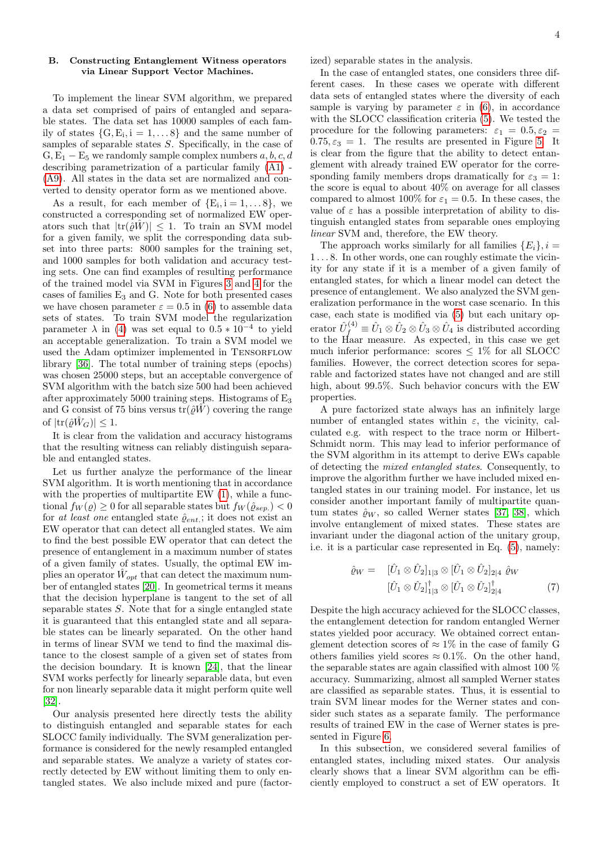#### <span id="page-3-0"></span>B. Constructing Entanglement Witness operators via Linear Support Vector Machines.

To implement the linear SVM algorithm, we prepared a data set comprised of pairs of entangled and separable states. The data set has 10000 samples of each family of states  $\{G, E_i, i = 1, \ldots 8\}$  and the same number of samples of separable states S. Specifically, in the case of  $G, E_1 - E_5$  we randomly sample complex numbers  $a, b, c, d$ describing parametrization of a particular family [\(A1\)](#page-7-1) - [\(A9\)](#page-7-2). All states in the data set are normalized and converted to density operator form as we mentioned above.

As a result, for each member of  $\{E_i, i = 1, \ldots 8\}$ , we constructed a corresponding set of normalized EW operators such that  $|\text{tr}(\hat{\rho}W)| \leq 1$ . To train an SVM model for a given family, we split the corresponding data subset into three parts: 8000 samples for the training set, and 1000 samples for both validation and accuracy testing sets. One can find examples of resulting performance of the trained model via SVM in Figures [3](#page-4-0) and [4](#page-4-1) for the cases of families  $E_3$  and G. Note for both presented cases we have chosen parameter  $\varepsilon = 0.5$  in [\(6\)](#page-2-2) to assemble data sets of states. To train SVM model the regularization parameter  $\lambda$  in [\(4\)](#page-1-3) was set equal to  $0.5 * 10^{-4}$  to yield an acceptable generalization. To train a SVM model we used the Adam optimizer implemented in TENSORFLOW library [\[36\]](#page-8-30). The total number of training steps (epochs) was chosen 25000 steps, but an acceptable convergence of SVM algorithm with the batch size 500 had been achieved after approximately 5000 training steps. Histograms of  $E_3$ and G consist of 75 bins versus  $tr(\hat{\rho} \hat{W})$  covering the range of  $|\text{tr}(\hat{\rho}\hat{W}_G)| \leq 1$ .

It is clear from the validation and accuracy histograms that the resulting witness can reliably distinguish separable and entangled states.

Let us further analyze the performance of the linear SVM algorithm. It is worth mentioning that in accordance with the properties of multipartite EW  $(1)$ , while a functional  $f_W(\varrho) \geq 0$  for all separable states but  $f_W(\hat{\varrho}_{sep.}) < 0$ for at least one entangled state  $\hat{\varrho}_{ent.}$ ; it does not exist an EW operator that can detect all entangled states. We aim to find the best possible EW operator that can detect the presence of entanglement in a maximum number of states of a given family of states. Usually, the optimal EW implies an operator  $\hat{W}_{opt}$  that can detect the maximum number of entangled states [\[20\]](#page-8-16). In geometrical terms it means that the decision hyperplane is tangent to the set of all separable states S. Note that for a single entangled state it is guaranteed that this entangled state and all separable states can be linearly separated. On the other hand in terms of linear SVM we tend to find the maximal distance to the closest sample of a given set of states from the decision boundary. It is known [\[24\]](#page-8-20), that the linear SVM works perfectly for linearly separable data, but even for non linearly separable data it might perform quite well [\[32\]](#page-8-26).

Our analysis presented here directly tests the ability to distinguish entangled and separable states for each SLOCC family individually. The SVM generalization performance is considered for the newly resampled entangled and separable states. We analyze a variety of states correctly detected by EW without limiting them to only entangled states. We also include mixed and pure (factorized) separable states in the analysis.

In the case of entangled states, one considers three different cases. In these cases we operate with different data sets of entangled states where the diversity of each sample is varying by parameter  $\varepsilon$  in [\(6\)](#page-2-2), in accordance with the SLOCC classification criteria [\(5\)](#page-2-1). We tested the procedure for the following parameters:  $\varepsilon_1 = 0.5, \varepsilon_2 =$  $0.75, \varepsilon_3 = 1$ . The results are presented in Figure [5.](#page-5-0) It is clear from the figure that the ability to detect entanglement with already trained EW operator for the corresponding family members drops dramatically for  $\varepsilon_3 = 1$ : the score is equal to about 40% on average for all classes compared to almost 100% for  $\varepsilon_1 = 0.5$ . In these cases, the value of  $\varepsilon$  has a possible interpretation of ability to distinguish entangled states from separable ones employing linear SVM and, therefore, the EW theory.

The approach works similarly for all families  ${E_i}$ ,  $i =$ 1 . . . 8. In other words, one can roughly estimate the vicinity for any state if it is a member of a given family of entangled states, for which a linear model can detect the presence of entanglement. We also analyzed the SVM generalization performance in the worst case scenario. In this case, each state is modified via [\(5\)](#page-2-1) but each unitary operator  $\hat{U}_{f}^{(4)} \equiv \hat{U}_1 \otimes \hat{U}_2 \otimes \hat{U}_3 \otimes \hat{U}_4$  is distributed according to the Haar measure. As expected, in this case we get much inferior performance: scores  $\leq 1\%$  for all SLOCC families. However, the correct detection scores for separable and factorized states have not changed and are still high, about 99.5%. Such behavior concurs with the EW properties.

A pure factorized state always has an infinitely large number of entangled states within  $\varepsilon$ , the vicinity, calculated e.g. with respect to the trace norm or Hilbert-Schmidt norm. This may lead to inferior performance of the SVM algorithm in its attempt to derive EWs capable of detecting the mixed entangled states. Consequently, to improve the algorithm further we have included mixed entangled states in our training model. For instance, let us consider another important family of multipartite quantum states  $\hat{\rho}_W$ , so called Werner states [\[37,](#page-8-31) [38\]](#page-8-32), which involve entanglement of mixed states. These states are invariant under the diagonal action of the unitary group, i.e. it is a particular case represented in Eq. [\(5\)](#page-2-1), namely:

$$
\hat{\varrho}_W = \begin{bmatrix} [\hat{U}_1 \otimes \hat{U}_2]_{1|3} \otimes [\hat{U}_1 \otimes \hat{U}_2]_{2|4} \hat{\varrho}_W \\ [\hat{U}_1 \otimes \hat{U}_2]_{1|3}^{\dagger} \otimes [\hat{U}_1 \otimes \hat{U}_2]_{2|4}^{\dagger} \end{bmatrix} (7)
$$

Despite the high accuracy achieved for the SLOCC classes, the entanglement detection for random entangled Werner states yielded poor accuracy. We obtained correct entanglement detection scores of  $\approx 1\%$  in the case of family G others families yield scores  $\approx 0.1\%$ . On the other hand, the separable states are again classified with almost 100 % accuracy. Summarizing, almost all sampled Werner states are classified as separable states. Thus, it is essential to train SVM linear modes for the Werner states and consider such states as a separate family. The performance results of trained EW in the case of Werner states is presented in Figure [6.](#page-5-1)

In this subsection, we considered several families of entangled states, including mixed states. Our analysis clearly shows that a linear SVM algorithm can be efficiently employed to construct a set of EW operators. It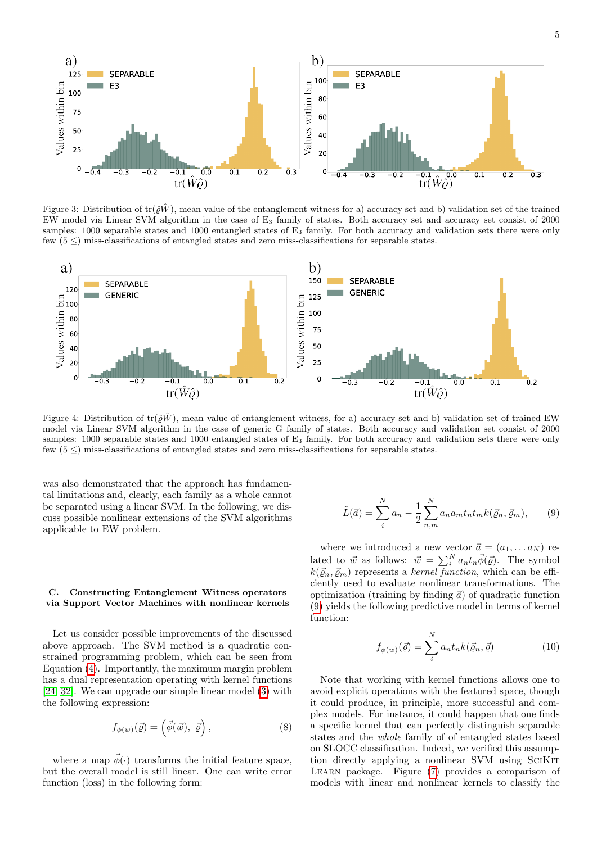

<span id="page-4-0"></span>Figure 3: Distribution of tr( $\partial \hat{W}$ ), mean value of the entanglement witness for a) accuracy set and b) validation set of the trained EW model via Linear SVM algorithm in the case of E<sup>3</sup> family of states. Both accuracy set and accuracy set consist of 2000 samples: 1000 separable states and 1000 entangled states of E<sub>3</sub> family. For both accuracy and validation sets there were only few  $(5 \leq)$  miss-classifications of entangled states and zero miss-classifications for separable states.



<span id="page-4-1"></span>Figure 4: Distribution of  $tr(\hat{\rho}W)$ , mean value of entanglement witness, for a) accuracy set and b) validation set of trained EW model via Linear SVM algorithm in the case of generic G family of states. Both accuracy and validation set consist of 2000 samples: 1000 separable states and 1000 entangled states of  $E_3$  family. For both accuracy and validation sets there were only few  $(5 \leq)$  miss-classifications of entangled states and zero miss-classifications for separable states.

was also demonstrated that the approach has fundamental limitations and, clearly, each family as a whole cannot be separated using a linear SVM. In the following, we discuss possible nonlinear extensions of the SVM algorithms applicable to EW problem.

### C. Constructing Entanglement Witness operators via Support Vector Machines with nonlinear kernels

Let us consider possible improvements of the discussed above approach. The SVM method is a quadratic constrained programming problem, which can be seen from Equation [\(4\)](#page-1-3). Importantly, the maximum margin problem has a dual representation operating with kernel functions [\[24,](#page-8-20) [32\]](#page-8-26). We can upgrade our simple linear model [\(3\)](#page-1-4) with the following expression:

$$
f_{\phi(w)}(\vec{\varrho}) = (\vec{\phi}(\vec{w}), \vec{\varrho}), \qquad (8)
$$

where a map  $\vec{\phi}(\cdot)$  transforms the initial feature space, but the overall model is still linear. One can write error function (loss) in the following form:

<span id="page-4-2"></span>
$$
\tilde{L}(\vec{a}) = \sum_{i}^{N} a_n - \frac{1}{2} \sum_{n,m}^{N} a_n a_m t_n t_m k(\vec{\varrho}_n, \vec{\varrho}_m), \qquad (9)
$$

where we introduced a new vector  $\vec{a} = (a_1, \ldots a_N)$  related to  $\vec{w}$  as follows:  $\vec{w} = \sum_{i=1}^{N} a_n t_n \vec{\phi}(\vec{q})$ . The symbol  $k(\vec{\varrho}_n, \vec{\varrho}_m)$  represents a kernel function, which can be efficiently used to evaluate nonlinear transformations. The optimization (training by finding  $\vec{a}$ ) of quadratic function [\(9\)](#page-4-2) yields the following predictive model in terms of kernel function:

<span id="page-4-3"></span>
$$
f_{\phi(w)}(\vec{\varrho}) = \sum_{i}^{N} a_n t_n k(\vec{\varrho}_n, \vec{\varrho})
$$
\n(10)

Note that working with kernel functions allows one to avoid explicit operations with the featured space, though it could produce, in principle, more successful and complex models. For instance, it could happen that one finds a specific kernel that can perfectly distinguish separable states and the whole family of of entangled states based on SLOCC classification. Indeed, we verified this assumption directly applying a nonlinear SVM using SCIKIT Learn package. Figure [\(7\)](#page-6-0) provides a comparison of models with linear and nonlinear kernels to classify the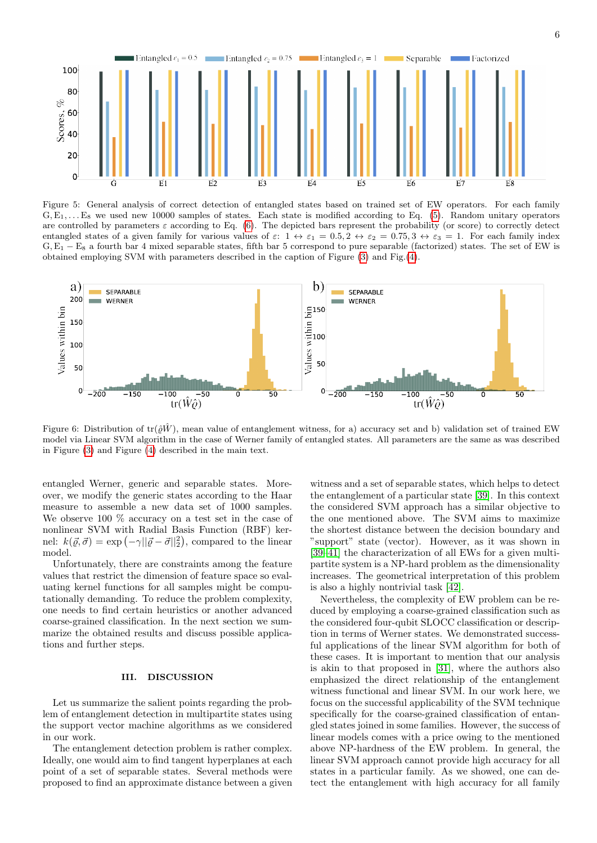

<span id="page-5-0"></span>Figure 5: General analysis of correct detection of entangled states based on trained set of EW operators. For each family  $G, E_1, \ldots, E_8$  we used new 10000 samples of states. Each state is modified according to Eq. [\(5\)](#page-2-1). Random unitary operators are controlled by parameters  $\varepsilon$  according to Eq. [\(6\)](#page-2-2). The depicted bars represent the probability (or score) to correctly detect entangled states of a given family for various values of  $\varepsilon$ :  $1 \leftrightarrow \varepsilon_1 = 0.5, 2 \leftrightarrow \varepsilon_2 = 0.75, 3 \leftrightarrow \varepsilon_3 = 1$ . For each family index G,E<sup>1</sup> − E<sup>8</sup> a fourth bar 4 mixed separable states, fifth bar 5 correspond to pure separable (factorized) states. The set of EW is obtained employing SVM with parameters described in the caption of Figure [\(3\)](#page-4-0) and Fig.[\(4\)](#page-4-1).



<span id="page-5-1"></span>Figure 6: Distribution of  $tr(\hat{\rho}W)$ , mean value of entanglement witness, for a) accuracy set and b) validation set of trained EW model via Linear SVM algorithm in the case of Werner family of entangled states. All parameters are the same as was described in Figure [\(3\)](#page-4-0) and Figure [\(4\)](#page-4-1) described in the main text.

entangled Werner, generic and separable states. Moreover, we modify the generic states according to the Haar measure to assemble a new data set of 1000 samples. We observe 100 % accuracy on a test set in the case of nonlinear SVM with Radial Basis Function (RBF) kernel:  $k(\vec{\varrho}, \vec{\sigma}) = \exp(-\gamma ||\vec{\varrho} - \vec{\sigma}||_2^2)$ , compared to the linear model.

Unfortunately, there are constraints among the feature values that restrict the dimension of feature space so evaluating kernel functions for all samples might be computationally demanding. To reduce the problem complexity, one needs to find certain heuristics or another advanced coarse-grained classification. In the next section we summarize the obtained results and discuss possible applications and further steps.

## III. DISCUSSION

Let us summarize the salient points regarding the problem of entanglement detection in multipartite states using the support vector machine algorithms as we considered in our work.

The entanglement detection problem is rather complex. Ideally, one would aim to find tangent hyperplanes at each point of a set of separable states. Several methods were proposed to find an approximate distance between a given witness and a set of separable states, which helps to detect the entanglement of a particular state [\[39\]](#page-9-0). In this context the considered SVM approach has a similar objective to the one mentioned above. The SVM aims to maximize the shortest distance between the decision boundary and "support" state (vector). However, as it was shown in [\[39](#page-9-0)[–41\]](#page-9-1) the characterization of all EWs for a given multipartite system is a NP-hard problem as the dimensionality increases. The geometrical interpretation of this problem is also a highly nontrivial task [\[42\]](#page-9-2).

Nevertheless, the complexity of EW problem can be reduced by employing a coarse-grained classification such as the considered four-qubit SLOCC classification or description in terms of Werner states. We demonstrated successful applications of the linear SVM algorithm for both of these cases. It is important to mention that our analysis is akin to that proposed in [\[31\]](#page-8-25), where the authors also emphasized the direct relationship of the entanglement witness functional and linear SVM. In our work here, we focus on the successful applicability of the SVM technique specifically for the coarse-grained classification of entangled states joined in some families. However, the success of linear models comes with a price owing to the mentioned above NP-hardness of the EW problem. In general, the linear SVM approach cannot provide high accuracy for all states in a particular family. As we showed, one can detect the entanglement with high accuracy for all family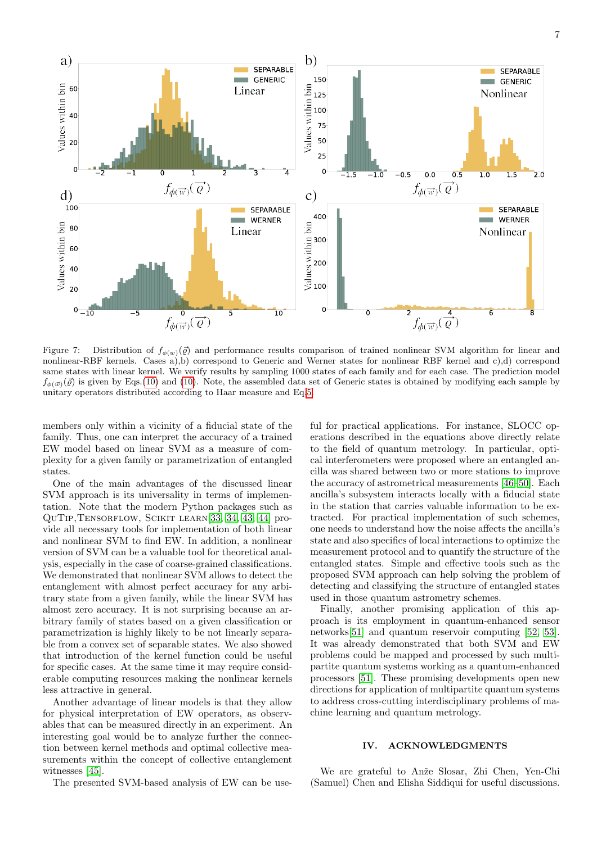

<span id="page-6-0"></span>Figure 7: Distribution of  $f_{\phi(w)}(\vec{\varrho})$  and performance results comparison of trained nonlinear SVM algorithm for linear and nonlinear-RBF kernels. Cases a),b) correspond to Generic and Werner states for nonlinear RBF kernel and c),d) correspond same states with linear kernel. We verify results by sampling 1000 states of each family and for each case. The prediction model  $f_{\phi(\vec{w})}(\vec{\rho})$  is given by Eqs.[\(10\)](#page-4-3) and (10). Note, the assembled data set of Generic states is obtained by modifying each sample by unitary operators distributed according to Haar measure and Eq[.5.](#page-2-1)

members only within a vicinity of a fiducial state of the family. Thus, one can interpret the accuracy of a trained EW model based on linear SVM as a measure of complexity for a given family or parametrization of entangled states.

One of the main advantages of the discussed linear SVM approach is its universality in terms of implementation. Note that the modern Python packages such as QuTip,Tensorflow, Scikit learn[\[33,](#page-8-27) [34,](#page-8-28) [43,](#page-9-3) [44\]](#page-9-4) provide all necessary tools for implementation of both linear and nonlinear SVM to find EW. In addition, a nonlinear version of SVM can be a valuable tool for theoretical analysis, especially in the case of coarse-grained classifications. We demonstrated that nonlinear SVM allows to detect the entanglement with almost perfect accuracy for any arbitrary state from a given family, while the linear SVM has almost zero accuracy. It is not surprising because an arbitrary family of states based on a given classification or parametrization is highly likely to be not linearly separable from a convex set of separable states. We also showed that introduction of the kernel function could be useful for specific cases. At the same time it may require considerable computing resources making the nonlinear kernels less attractive in general.

Another advantage of linear models is that they allow for physical interpretation of EW operators, as observables that can be measured directly in an experiment. An interesting goal would be to analyze further the connection between kernel methods and optimal collective measurements within the concept of collective entanglement witnesses [\[45\]](#page-9-5).

The presented SVM-based analysis of EW can be use-

ful for practical applications. For instance, SLOCC operations described in the equations above directly relate to the field of quantum metrology. In particular, optical interferometers were proposed where an entangled ancilla was shared between two or more stations to improve the accuracy of astrometrical measurements [\[46](#page-9-6)[–50\]](#page-9-7). Each ancilla's subsystem interacts locally with a fiducial state in the station that carries valuable information to be extracted. For practical implementation of such schemes, one needs to understand how the noise affects the ancilla's state and also specifics of local interactions to optimize the measurement protocol and to quantify the structure of the entangled states. Simple and effective tools such as the proposed SVM approach can help solving the problem of detecting and classifying the structure of entangled states used in those quantum astrometry schemes.

Finally, another promising application of this approach is its employment in quantum-enhanced sensor networks[\[51\]](#page-9-8) and quantum reservoir computing [\[52,](#page-9-9) [53\]](#page-9-10). It was already demonstrated that both SVM and EW problems could be mapped and processed by such multipartite quantum systems working as a quantum-enhanced processors [\[51\]](#page-9-8). These promising developments open new directions for application of multipartite quantum systems to address cross-cutting interdisciplinary problems of machine learning and quantum metrology.

## IV. ACKNOWLEDGMENTS

We are grateful to Anže Slosar, Zhi Chen, Yen-Chi (Samuel) Chen and Elisha Siddiqui for useful discussions.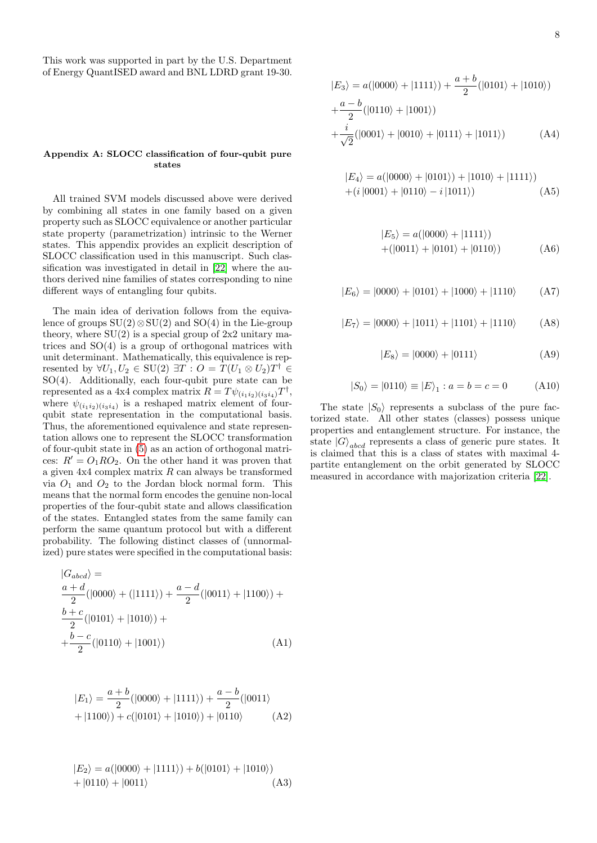This work was supported in part by the U.S. Department of Energy QuantISED award and BNL LDRD grant 19-30.

## <span id="page-7-0"></span>Appendix A: SLOCC classification of four-qubit pure states

All trained SVM models discussed above were derived by combining all states in one family based on a given property such as SLOCC equivalence or another particular state property (parametrization) intrinsic to the Werner states. This appendix provides an explicit description of SLOCC classification used in this manuscript. Such classification was investigated in detail in [\[22\]](#page-8-18) where the authors derived nine families of states corresponding to nine different ways of entangling four qubits.

The main idea of derivation follows from the equivalence of groups  $SU(2) \otimes SU(2)$  and  $SO(4)$  in the Lie-group theory, where  $SU(2)$  is a special group of  $2x2$  unitary matrices and SO(4) is a group of orthogonal matrices with unit determinant. Mathematically, this equivalence is represented by  $\forall U_1, U_2 \in \text{SU}(2) \exists T : O = T(U_1 \otimes U_2)T^{\dagger} \in$ SO(4). Additionally, each four-qubit pure state can be represented as a 4x4 complex matrix  $R = T \psi_{(i_1 i_2)(i_3 i_4)} T^{\dagger}$ , where  $\psi_{(i_1 i_2)(i_3 i_4)}$  is a reshaped matrix element of fourqubit state representation in the computational basis. Thus, the aforementioned equivalence and state representation allows one to represent the SLOCC transformation of four-qubit state in [\(5\)](#page-2-1) as an action of orthogonal matrices:  $R' = O_1RO_2$ . On the other hand it was proven that a given  $4x4$  complex matrix  $R$  can always be transformed via  $O_1$  and  $O_2$  to the Jordan block normal form. This means that the normal form encodes the genuine non-local properties of the four-qubit state and allows classification of the states. Entangled states from the same family can perform the same quantum protocol but with a different probability. The following distinct classes of (unnormalized) pure states were specified in the computational basis:

<span id="page-7-1"></span>
$$
|G_{abcd}\rangle =
$$
  
\n
$$
\frac{a+d}{2}(|0000\rangle + (|1111\rangle) + \frac{a-d}{2}(|0011\rangle + |1100\rangle) +
$$
  
\n
$$
\frac{b+c}{2}(|0101\rangle + |1010\rangle) +
$$
  
\n
$$
+\frac{b-c}{2}(|0110\rangle + |1001\rangle)
$$
 (A1)

<span id="page-7-3"></span>
$$
|E_1\rangle = \frac{a+b}{2}(|0000\rangle + |1111\rangle) + \frac{a-b}{2}(|0011\rangle + |1100\rangle) + c(|0101\rangle + |1010\rangle) + |0110\rangle \tag{A2}
$$

$$
|E_2\rangle = a(|0000\rangle + |1111\rangle) + b(|0101\rangle + |1010\rangle) + |0110\rangle + |0011\rangle
$$
 (A3)

$$
|E_3\rangle = a(|0000\rangle + |1111\rangle) + \frac{a+b}{2}(|0101\rangle + |1010\rangle) + \frac{a-b}{2}(|0110\rangle + |1001\rangle) + \frac{i}{\sqrt{2}}(|0001\rangle + |0010\rangle + |0111\rangle + |1011\rangle)
$$
 (A4)

$$
|E_4\rangle = a(|0000\rangle + |0101\rangle) + |1010\rangle + |1111\rangle) + (i|0001\rangle + |0110\rangle - i|1011\rangle)
$$
 (A5)

<span id="page-7-4"></span>
$$
|E_5\rangle = a(|0000\rangle + |1111\rangle) + (|0011\rangle + |0101\rangle + |0110\rangle)
$$
 (A6)

$$
|E_6\rangle = |0000\rangle + |0101\rangle + |1000\rangle + |1110\rangle \tag{A7}
$$

$$
|E_7\rangle = |0000\rangle + |1011\rangle + |1101\rangle + |1110\rangle
$$
 (A8)

<span id="page-7-2"></span>
$$
|E_8\rangle = |0000\rangle + |0111\rangle \tag{A9}
$$

$$
|S_0\rangle = |0110\rangle \equiv |E\rangle_1 : a = b = c = 0 \tag{A10}
$$

The state  $|S_0\rangle$  represents a subclass of the pure factorized state. All other states (classes) possess unique properties and entanglement structure. For instance, the state  $|G\rangle_{abcd}$  represents a class of generic pure states. It is claimed that this is a class of states with maximal 4 partite entanglement on the orbit generated by SLOCC measured in accordance with majorization criteria [\[22\]](#page-8-18).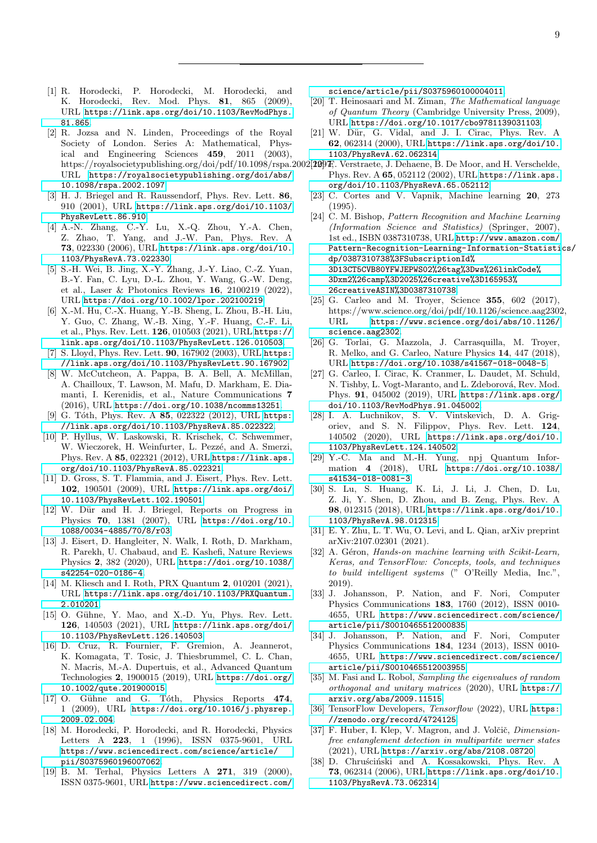- <span id="page-8-0"></span>[1] R. Horodecki, P. Horodecki, M. Horodecki, and K. Horodecki, Rev. Mod. Phys. 81, 865 (2009), URL [https://link.aps.org/doi/10.1103/RevModPhys.](https://link.aps.org/doi/10.1103/RevModPhys.81.865) [81.865](https://link.aps.org/doi/10.1103/RevModPhys.81.865).
- <span id="page-8-1"></span>[2] R. Jozsa and N. Linden, Proceedings of the Royal Society of London. Series A: Mathematical, Physical and Engineering Sciences 459, 2011 (2003), URL [https://royalsocietypublishing.org/doi/abs/](https://royalsocietypublishing.org/doi/abs/10.1098/rspa.2002.1097) [10.1098/rspa.2002.1097](https://royalsocietypublishing.org/doi/abs/10.1098/rspa.2002.1097).
- [3] H. J. Briegel and R. Raussendorf, Phys. Rev. Lett. 86, 910 (2001), URL [https://link.aps.org/doi/10.1103/](https://link.aps.org/doi/10.1103/PhysRevLett.86.910) [PhysRevLett.86.910](https://link.aps.org/doi/10.1103/PhysRevLett.86.910).
- <span id="page-8-2"></span>[4] A.-N. Zhang, C.-Y. Lu, X.-Q. Zhou, Y.-A. Chen, Z. Zhao, T. Yang, and J.-W. Pan, Phys. Rev. A 73, 022330 (2006), URL [https://link.aps.org/doi/10.](https://link.aps.org/doi/10.1103/PhysRevA.73.022330) [1103/PhysRevA.73.022330](https://link.aps.org/doi/10.1103/PhysRevA.73.022330).
- <span id="page-8-3"></span>[5] S.-H. Wei, B. Jing, X.-Y. Zhang, J.-Y. Liao, C.-Z. Yuan, B.-Y. Fan, C. Lyu, D.-L. Zhou, Y. Wang, G.-W. Deng, et al., Laser & Photonics Reviews 16, 2100219 (2022), URL <https://doi.org/10.1002/lpor.202100219>.
- [6] X.-M. Hu, C.-X. Huang, Y.-B. Sheng, L. Zhou, B.-H. Liu, Y. Guo, C. Zhang, W.-B. Xing, Y.-F. Huang, C.-F. Li, et al., Phys. Rev. Lett. 126, 010503 (2021), URL [https://](https://link.aps.org/doi/10.1103/PhysRevLett.126.010503) [link.aps.org/doi/10.1103/PhysRevLett.126.010503](https://link.aps.org/doi/10.1103/PhysRevLett.126.010503).
- <span id="page-8-4"></span>[7] S. Lloyd, Phys. Rev. Lett. 90, 167902 (2003), URL [https:](https://link.aps.org/doi/10.1103/PhysRevLett.90.167902) [//link.aps.org/doi/10.1103/PhysRevLett.90.167902](https://link.aps.org/doi/10.1103/PhysRevLett.90.167902).
- <span id="page-8-5"></span>[8] W. McCutcheon, A. Pappa, B. A. Bell, A. McMillan, A. Chailloux, T. Lawson, M. Mafu, D. Markham, E. Diamanti, I. Kerenidis, et al., Nature Communications 7 (2016), URL <https://doi.org/10.1038/ncomms13251>.
- <span id="page-8-23"></span><span id="page-8-22"></span><span id="page-8-6"></span>[9] G. Tóth, Phys. Rev. A 85, 022322 (2012), URL [https:](https://link.aps.org/doi/10.1103/PhysRevA.85.022322) [//link.aps.org/doi/10.1103/PhysRevA.85.022322](https://link.aps.org/doi/10.1103/PhysRevA.85.022322).
- <span id="page-8-7"></span>[10] P. Hyllus, W. Laskowski, R. Krischek, C. Schwemmer, W. Wieczorek, H. Weinfurter, L. Pezzé, and A. Smerzi, Phys. Rev. A 85, 022321 (2012), URL [https://link.aps.](https://link.aps.org/doi/10.1103/PhysRevA.85.022321) [org/doi/10.1103/PhysRevA.85.022321](https://link.aps.org/doi/10.1103/PhysRevA.85.022321).
- <span id="page-8-24"></span><span id="page-8-8"></span>[11] D. Gross, S. T. Flammia, and J. Eisert, Phys. Rev. Lett. 102, 190501 (2009), URL [https://link.aps.org/doi/](https://link.aps.org/doi/10.1103/PhysRevLett.102.190501) [10.1103/PhysRevLett.102.190501](https://link.aps.org/doi/10.1103/PhysRevLett.102.190501).
- <span id="page-8-9"></span>[12] W. Dür and H. J. Briegel, Reports on Progress in Physics 70, 1381 (2007), URL [https://doi.org/10.](https://doi.org/10.1088/0034-4885/70/8/r03) [1088/0034-4885/70/8/r03](https://doi.org/10.1088/0034-4885/70/8/r03).
- <span id="page-8-26"></span><span id="page-8-25"></span><span id="page-8-10"></span>[13] J. Eisert, D. Hangleiter, N. Walk, I. Roth, D. Markham, R. Parekh, U. Chabaud, and E. Kashefi, Nature Reviews Physics 2, 382 (2020), URL [https://doi.org/10.1038/](https://doi.org/10.1038/s42254-020-0186-4) [s42254-020-0186-4](https://doi.org/10.1038/s42254-020-0186-4).
- <span id="page-8-27"></span>[14] M. Kliesch and I. Roth, PRX Quantum 2, 010201 (2021), URL [https://link.aps.org/doi/10.1103/PRXQuantum.](https://link.aps.org/doi/10.1103/PRXQuantum.2.010201) [2.010201](https://link.aps.org/doi/10.1103/PRXQuantum.2.010201).
- <span id="page-8-11"></span>[15] O. Gühne, Y. Mao, and X.-D. Yu, Phys. Rev. Lett. 126, 140503 (2021), URL [https://link.aps.org/doi/](https://link.aps.org/doi/10.1103/PhysRevLett.126.140503) [10.1103/PhysRevLett.126.140503](https://link.aps.org/doi/10.1103/PhysRevLett.126.140503).
- <span id="page-8-28"></span><span id="page-8-12"></span>[16] D. Cruz, R. Fournier, F. Gremion, A. Jeannerot, K. Komagata, T. Tosic, J. Thiesbrummel, C. L. Chan, N. Macris, M.-A. Dupertuis, et al., Advanced Quantum Technologies 2, 1900015 (2019), URL [https://doi.org/](https://doi.org/10.1002/qute.201900015) [10.1002/qute.201900015](https://doi.org/10.1002/qute.201900015).
- <span id="page-8-30"></span><span id="page-8-29"></span><span id="page-8-13"></span>[17] O. Gühne and G. Tóth, Physics Reports 474, 1 (2009), URL [https://doi.org/10.1016/j.physrep.](https://doi.org/10.1016/j.physrep.2009.02.004) [2009.02.004](https://doi.org/10.1016/j.physrep.2009.02.004).
- <span id="page-8-31"></span><span id="page-8-14"></span>[18] M. Horodecki, P. Horodecki, and R. Horodecki, Physics Letters A 223, 1 (1996), ISSN 0375-9601, URL [https://www.sciencedirect.com/science/article/](https://www.sciencedirect.com/science/article/pii/S0375960196007062) [pii/S0375960196007062](https://www.sciencedirect.com/science/article/pii/S0375960196007062).
- <span id="page-8-32"></span><span id="page-8-15"></span>[19] B. M. Terhal, Physics Letters A 271, 319 (2000), ISSN 0375-9601, URL [https://www.sciencedirect.com/](https://www.sciencedirect.com/science/article/pii/S0375960100004011)

[science/article/pii/S0375960100004011](https://www.sciencedirect.com/science/article/pii/S0375960100004011).

- <span id="page-8-16"></span>[20] T. Heinosaari and M. Ziman, The Mathematical language of Quantum Theory (Cambridge University Press, 2009), URL <https://doi.org/10.1017/cbo9781139031103>.
- <span id="page-8-21"></span><span id="page-8-20"></span><span id="page-8-19"></span><span id="page-8-18"></span><span id="page-8-17"></span>[21] W. Dür, G. Vidal, and J. I. Cirac, Phys. Rev. A 62, 062314 (2000), URL [https://link.aps.org/doi/10.](https://link.aps.org/doi/10.1103/PhysRevA.62.062314) [1103/PhysRevA.62.062314](https://link.aps.org/doi/10.1103/PhysRevA.62.062314).
- https://royalsocietypublishing.org/doi/pdf/10.1098/rspa.2002[2097]; Verstraete, J. Dehaene, B. De Moor, and H. Verschelde, Phys. Rev. A 65, 052112 (2002), URL [https://link.aps.](https://link.aps.org/doi/10.1103/PhysRevA.65.052112) [org/doi/10.1103/PhysRevA.65.052112](https://link.aps.org/doi/10.1103/PhysRevA.65.052112).
	- [23] C. Cortes and V. Vapnik, Machine learning 20, 273 (1995).
	- [24] C. M. Bishop, Pattern Recognition and Machine Learning (Information Science and Statistics) (Springer, 2007), 1st ed., ISBN 0387310738, URL [http://www.amazon.com/](http://www.amazon.com/Pattern-Recognition-Learning-Information-Statistics/dp/0387310738%3FSubscriptionId%3D13CT5CVB80YFWJEPWS02%26tag%3Dws%26linkCode%3Dxm2%26camp%3D2025%26creative%3D165953%26creativeASIN%3D0387310738) [Pattern-Recognition-Learning-Information-Statisti](http://www.amazon.com/Pattern-Recognition-Learning-Information-Statistics/dp/0387310738%3FSubscriptionId%3D13CT5CVB80YFWJEPWS02%26tag%3Dws%26linkCode%3Dxm2%26camp%3D2025%26creative%3D165953%26creativeASIN%3D0387310738)cs/ [dp/0387310738%3FSubscriptionId%](http://www.amazon.com/Pattern-Recognition-Learning-Information-Statistics/dp/0387310738%3FSubscriptionId%3D13CT5CVB80YFWJEPWS02%26tag%3Dws%26linkCode%3Dxm2%26camp%3D2025%26creative%3D165953%26creativeASIN%3D0387310738) [3D13CT5CVB80YFWJEPWS02%26tag%3Dws%26linkCode%](http://www.amazon.com/Pattern-Recognition-Learning-Information-Statistics/dp/0387310738%3FSubscriptionId%3D13CT5CVB80YFWJEPWS02%26tag%3Dws%26linkCode%3Dxm2%26camp%3D2025%26creative%3D165953%26creativeASIN%3D0387310738) [3Dxm2%26camp%3D2025%26creative%3D165953%](http://www.amazon.com/Pattern-Recognition-Learning-Information-Statistics/dp/0387310738%3FSubscriptionId%3D13CT5CVB80YFWJEPWS02%26tag%3Dws%26linkCode%3Dxm2%26camp%3D2025%26creative%3D165953%26creativeASIN%3D0387310738) [26creativeASIN%3D0387310738](http://www.amazon.com/Pattern-Recognition-Learning-Information-Statistics/dp/0387310738%3FSubscriptionId%3D13CT5CVB80YFWJEPWS02%26tag%3Dws%26linkCode%3Dxm2%26camp%3D2025%26creative%3D165953%26creativeASIN%3D0387310738).
	- [25] G. Carleo and M. Troyer, Science **355**, 602 (2017), https://www.science.org/doi/pdf/10.1126/science.aag2302, URL [https://www.science.org/doi/abs/10.1126/](https://www.science.org/doi/abs/10.1126/science.aag2302) [science.aag2302](https://www.science.org/doi/abs/10.1126/science.aag2302).
	- [26] G. Torlai, G. Mazzola, J. Carrasquilla, M. Troyer, R. Melko, and G. Carleo, Nature Physics 14, 447 (2018), URL <https://doi.org/10.1038/s41567-018-0048-5>.
	- [27] G. Carleo, I. Cirac, K. Cranmer, L. Daudet, M. Schuld, N. Tishby, L. Vogt-Maranto, and L. Zdeborová, Rev. Mod. Phys. 91, 045002 (2019), URL [https://link.aps.org/](https://link.aps.org/doi/10.1103/RevModPhys.91.045002) [doi/10.1103/RevModPhys.91.045002](https://link.aps.org/doi/10.1103/RevModPhys.91.045002).
	- [28] I. A. Luchnikov, S. V. Vintskevich, D. A. Grigoriev, and S. N. Filippov, Phys. Rev. Lett. 124, 140502 (2020), URL [https://link.aps.org/doi/10.](https://link.aps.org/doi/10.1103/PhysRevLett.124.140502) [1103/PhysRevLett.124.140502](https://link.aps.org/doi/10.1103/PhysRevLett.124.140502).
	- [29] Y.-C. Ma and M.-H. Yung, npj Quantum Information 4 (2018), URL [https://doi.org/10.1038/](https://doi.org/10.1038/s41534-018-0081-3) [s41534-018-0081-3](https://doi.org/10.1038/s41534-018-0081-3).
	- [30] S. Lu, S. Huang, K. Li, J. Li, J. Chen, D. Lu, Z. Ji, Y. Shen, D. Zhou, and B. Zeng, Phys. Rev. A 98, 012315 (2018), URL [https://link.aps.org/doi/10.](https://link.aps.org/doi/10.1103/PhysRevA.98.012315) [1103/PhysRevA.98.012315](https://link.aps.org/doi/10.1103/PhysRevA.98.012315).
	- [31] E. Y. Zhu, L. T. Wu, O. Levi, and L. Qian, arXiv preprint arXiv:2107.02301 (2021).
	- [32] A. Géron, Hands-on machine learning with Scikit-Learn, Keras, and TensorFlow: Concepts, tools, and techniques to build intelligent systems (" O'Reilly Media, Inc.", 2019).
	- [33] J. Johansson, P. Nation, and F. Nori, Computer Physics Communications 183, 1760 (2012), ISSN 0010- 4655, URL [https://www.sciencedirect.com/science/](https://www.sciencedirect.com/science/article/pii/S0010465512000835) [article/pii/S0010465512000835](https://www.sciencedirect.com/science/article/pii/S0010465512000835).
	- [34] J. Johansson, P. Nation, and F. Nori, Computer Physics Communications 184, 1234 (2013), ISSN 0010- 4655, URL [https://www.sciencedirect.com/science/](https://www.sciencedirect.com/science/article/pii/S0010465512003955) [article/pii/S0010465512003955](https://www.sciencedirect.com/science/article/pii/S0010465512003955).
	- [35] M. Fasi and L. Robol, Sampling the eigenvalues of random orthogonal and unitary matrices (2020), URL [https://](https://arxiv.org/abs/2009.11515) [arxiv.org/abs/2009.11515](https://arxiv.org/abs/2009.11515).
	- [36] TensorFlow Developers, Tensorflow (2022), URL [https:](https://zenodo.org/record/4724125) [//zenodo.org/record/4724125](https://zenodo.org/record/4724125).
	- [37] F. Huber, I. Klep, V. Magron, and J. Volčič, *Dimension*free entanglement detection in multipartite werner states (2021), URL <https://arxiv.org/abs/2108.08720>.
	- [38] D. Chruściński and A. Kossakowski, Phys. Rev. A 73, 062314 (2006), URL [https://link.aps.org/doi/10.](https://link.aps.org/doi/10.1103/PhysRevA.73.062314) [1103/PhysRevA.73.062314](https://link.aps.org/doi/10.1103/PhysRevA.73.062314).